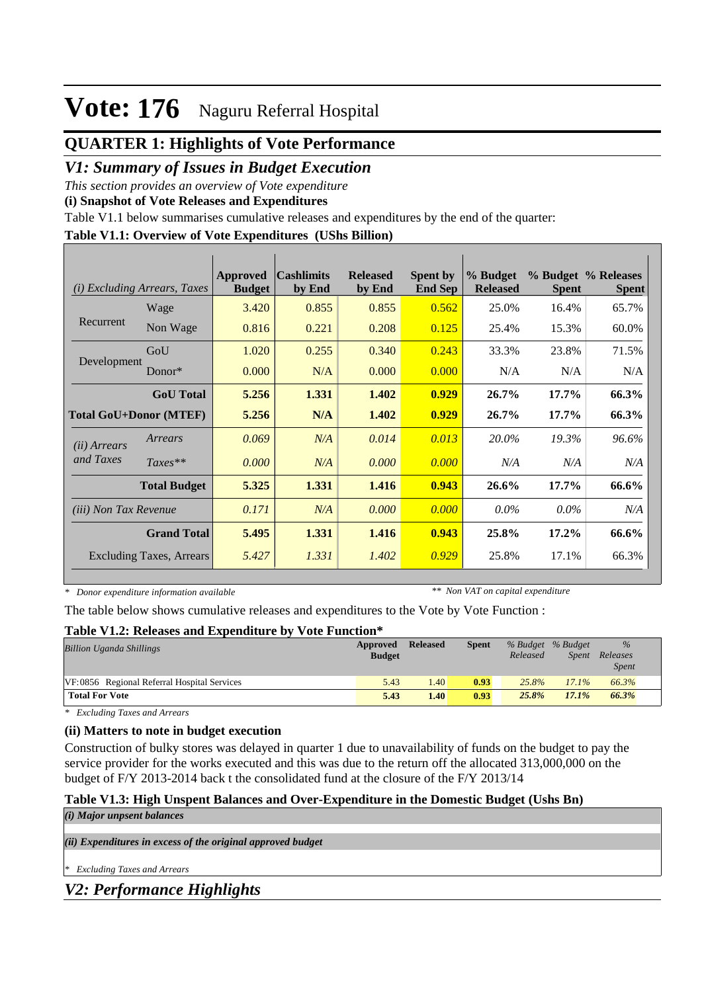## **QUARTER 1: Highlights of Vote Performance**

### *V1: Summary of Issues in Budget Execution*

*This section provides an overview of Vote expenditure* 

**(i) Snapshot of Vote Releases and Expenditures**

Table V1.1 below summarises cumulative releases and expenditures by the end of the quarter:

#### **Table V1.1: Overview of Vote Expenditures (UShs Billion)**

| (i)                          | <i>Excluding Arrears, Taxes</i> | <b>Approved</b><br><b>Budget</b> | <b>Cashlimits</b><br>by End | <b>Released</b><br>by End | <b>Spent by</b><br><b>End Sep</b> | % Budget<br><b>Released</b> | <b>Spent</b> | % Budget % Releases<br><b>Spent</b> |
|------------------------------|---------------------------------|----------------------------------|-----------------------------|---------------------------|-----------------------------------|-----------------------------|--------------|-------------------------------------|
|                              | Wage                            | 3.420                            | 0.855                       | 0.855                     | 0.562                             | 25.0%                       | 16.4%        | 65.7%                               |
| Recurrent                    | Non Wage                        | 0.816                            | 0.221                       | 0.208                     | 0.125                             | 25.4%                       | 15.3%        | 60.0%                               |
|                              | GoU                             | 1.020                            | 0.255                       | 0.340                     | 0.243                             | 33.3%                       | 23.8%        | 71.5%                               |
| Development                  | $Donor*$                        | 0.000                            | N/A                         | 0.000                     | 0.000                             | N/A                         | N/A          | N/A                                 |
|                              | <b>GoU</b> Total                | 5.256                            | 1.331                       | 1.402                     | 0.929                             | 26.7%                       | $17.7\%$     | 66.3%                               |
|                              | <b>Total GoU+Donor (MTEF)</b>   | 5.256                            | N/A                         | 1.402                     | 0.929                             | 26.7%                       | $17.7\%$     | 66.3%                               |
| ( <i>ii</i> ) Arrears        | Arrears                         | 0.069                            | N/A                         | 0.014                     | 0.013                             | 20.0%                       | 19.3%        | 96.6%                               |
| and Taxes                    | $Taxes**$                       | 0.000                            | N/A                         | 0.000                     | 0.000                             | N/A                         | N/A          | N/A                                 |
|                              | <b>Total Budget</b>             | 5.325                            | 1.331                       | 1.416                     | 0.943                             | 26.6%                       | $17.7\%$     | 66.6%                               |
| <i>(iii)</i> Non Tax Revenue |                                 | 0.171                            | N/A                         | 0.000                     | 0.000                             | $0.0\%$                     | $0.0\%$      | N/A                                 |
|                              | <b>Grand Total</b>              | 5.495                            | 1.331                       | 1.416                     | 0.943                             | 25.8%                       | $17.2\%$     | 66.6%                               |
|                              | <b>Excluding Taxes, Arrears</b> | 5.427                            | 1.331                       | 1.402                     | 0.929                             | 25.8%                       | 17.1%        | 66.3%                               |

*\* Donor expenditure information available*

*\*\* Non VAT on capital expenditure*

The table below shows cumulative releases and expenditures to the Vote by Vote Function :

#### **Table V1.2: Releases and Expenditure by Vote Function\***

| <b>Billion Uganda Shillings</b>             | Approved<br><b>Budget</b> | <b>Released</b> | <b>Spent</b> | % Budget % Budget<br>Released | <i>Spent</i> | $\frac{9}{6}$<br>Releases<br><b>Spent</b> |
|---------------------------------------------|---------------------------|-----------------|--------------|-------------------------------|--------------|-------------------------------------------|
| VF:0856 Regional Referral Hospital Services | 5.43                      | 1.40            | 0.93         | 25.8%                         | 17.1%        | 66.3%                                     |
| <b>Total For Vote</b>                       | 5.43                      | 1.40            | 0.93         | 25.8%                         | 17.1%        | 66.3%                                     |

*\* Excluding Taxes and Arrears*

#### **(ii) Matters to note in budget execution**

Construction of bulky stores was delayed in quarter 1 due to unavailability of funds on the budget to pay the service provider for the works executed and this was due to the return off the allocated 313,000,000 on the budget of F/Y 2013-2014 back t the consolidated fund at the closure of the F/Y 2013/14

#### **Table V1.3: High Unspent Balances and Over-Expenditure in the Domestic Budget (Ushs Bn)** *(i) Major unpsent balances*

*(ii) Expenditures in excess of the original approved budget*

*\* Excluding Taxes and Arrears*

*V2: Performance Highlights*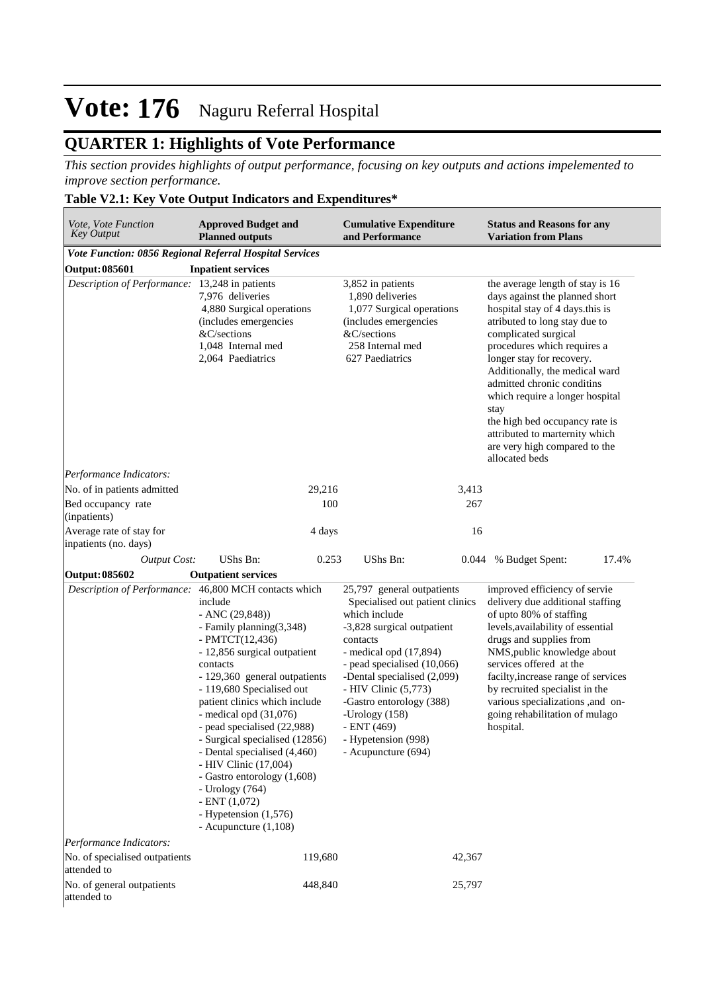## **QUARTER 1: Highlights of Vote Performance**

*This section provides highlights of output performance, focusing on key outputs and actions impelemented to improve section performance.*

#### **Table V2.1: Key Vote Output Indicators and Expenditures\***

| <i>Vote, Vote Function</i><br><b>Key Output</b>         | <b>Approved Budget and</b><br><b>Planned outputs</b>                                                                                                                                                                                                                                                                                                                                                                                                                                                                                                                   | <b>Cumulative Expenditure</b><br>and Performance                                                                                                                                                                                                                                                                                                        | <b>Status and Reasons for any</b><br><b>Variation from Plans</b>                                                                                                                                                                                                                                                                                                                                                                                             |
|---------------------------------------------------------|------------------------------------------------------------------------------------------------------------------------------------------------------------------------------------------------------------------------------------------------------------------------------------------------------------------------------------------------------------------------------------------------------------------------------------------------------------------------------------------------------------------------------------------------------------------------|---------------------------------------------------------------------------------------------------------------------------------------------------------------------------------------------------------------------------------------------------------------------------------------------------------------------------------------------------------|--------------------------------------------------------------------------------------------------------------------------------------------------------------------------------------------------------------------------------------------------------------------------------------------------------------------------------------------------------------------------------------------------------------------------------------------------------------|
| Vote Function: 0856 Regional Referral Hospital Services |                                                                                                                                                                                                                                                                                                                                                                                                                                                                                                                                                                        |                                                                                                                                                                                                                                                                                                                                                         |                                                                                                                                                                                                                                                                                                                                                                                                                                                              |
| <b>Output: 085601</b>                                   | <b>Inpatient services</b>                                                                                                                                                                                                                                                                                                                                                                                                                                                                                                                                              |                                                                                                                                                                                                                                                                                                                                                         |                                                                                                                                                                                                                                                                                                                                                                                                                                                              |
| Description of Performance: 13,248 in patients          | 7,976 deliveries<br>4,880 Surgical operations<br>(includes emergencies<br>&C/sections<br>1,048 Internal med<br>2,064 Paediatrics                                                                                                                                                                                                                                                                                                                                                                                                                                       | 3,852 in patients<br>1,890 deliveries<br>1,077 Surgical operations<br>(includes emergencies<br>&C/sections<br>258 Internal med<br>627 Paediatrics                                                                                                                                                                                                       | the average length of stay is 16<br>days against the planned short<br>hospital stay of 4 days this is<br>atributed to long stay due to<br>complicated surgical<br>procedures which requires a<br>longer stay for recovery.<br>Additionally, the medical ward<br>admitted chronic conditins<br>which require a longer hospital<br>stay<br>the high bed occupancy rate is<br>attributed to marternity which<br>are very high compared to the<br>allocated beds |
| Performance Indicators:                                 |                                                                                                                                                                                                                                                                                                                                                                                                                                                                                                                                                                        |                                                                                                                                                                                                                                                                                                                                                         |                                                                                                                                                                                                                                                                                                                                                                                                                                                              |
| No. of in patients admitted                             | 29,216                                                                                                                                                                                                                                                                                                                                                                                                                                                                                                                                                                 | 3,413                                                                                                                                                                                                                                                                                                                                                   |                                                                                                                                                                                                                                                                                                                                                                                                                                                              |
| Bed occupancy rate<br>(inpatients)                      | 100                                                                                                                                                                                                                                                                                                                                                                                                                                                                                                                                                                    | 267                                                                                                                                                                                                                                                                                                                                                     |                                                                                                                                                                                                                                                                                                                                                                                                                                                              |
| Average rate of stay for<br>inpatients (no. days)       | 4 days                                                                                                                                                                                                                                                                                                                                                                                                                                                                                                                                                                 | 16                                                                                                                                                                                                                                                                                                                                                      |                                                                                                                                                                                                                                                                                                                                                                                                                                                              |
| <b>Output Cost:</b>                                     | UShs Bn:<br>0.253                                                                                                                                                                                                                                                                                                                                                                                                                                                                                                                                                      | UShs Bn:                                                                                                                                                                                                                                                                                                                                                | 0.044 % Budget Spent:<br>17.4%                                                                                                                                                                                                                                                                                                                                                                                                                               |
| <b>Output: 085602</b>                                   | <b>Outpatient services</b>                                                                                                                                                                                                                                                                                                                                                                                                                                                                                                                                             |                                                                                                                                                                                                                                                                                                                                                         |                                                                                                                                                                                                                                                                                                                                                                                                                                                              |
|                                                         | Description of Performance: 46,800 MCH contacts which<br>include<br>$-$ ANC $(29, 848)$<br>- Family planning(3,348)<br>- PMTCT $(12, 436)$<br>- 12,856 surgical outpatient<br>contacts<br>- 129,360 general outpatients<br>- 119,680 Specialised out<br>patient clinics which include<br>- medical opd $(31,076)$<br>- pead specialised (22,988)<br>- Surgical specialised (12856)<br>- Dental specialised (4,460)<br>- HIV Clinic (17,004)<br>- Gastro entorology (1,608)<br>- Urology (764)<br>$-$ ENT $(1,072)$<br>- Hypetension (1,576)<br>- Acupuncture $(1,108)$ | 25,797 general outpatients<br>Specialised out patient clinics<br>which include<br>-3,828 surgical outpatient<br>contacts<br>- medical opd $(17,894)$<br>- pead specialised (10,066)<br>-Dental specialised (2,099)<br>- HIV Clinic (5,773)<br>-Gastro entorology (388)<br>-Urology $(158)$<br>- ENT (469)<br>- Hypetension (998)<br>- Acupuncture (694) | improved efficiency of servie<br>delivery due additional staffing<br>of upto 80% of staffing<br>levels, availability of essential<br>drugs and supplies from<br>NMS, public knowledge about<br>services offered at the<br>facilty, increase range of services<br>by recruited specialist in the<br>various specializations ,and on-<br>going rehabilitation of mulago<br>hospital.                                                                           |
| Performance Indicators:                                 |                                                                                                                                                                                                                                                                                                                                                                                                                                                                                                                                                                        |                                                                                                                                                                                                                                                                                                                                                         |                                                                                                                                                                                                                                                                                                                                                                                                                                                              |
| No. of specialised outpatients<br>attended to           | 119,680                                                                                                                                                                                                                                                                                                                                                                                                                                                                                                                                                                | 42,367                                                                                                                                                                                                                                                                                                                                                  |                                                                                                                                                                                                                                                                                                                                                                                                                                                              |
| No. of general outpatients<br>attended to               | 448,840                                                                                                                                                                                                                                                                                                                                                                                                                                                                                                                                                                | 25,797                                                                                                                                                                                                                                                                                                                                                  |                                                                                                                                                                                                                                                                                                                                                                                                                                                              |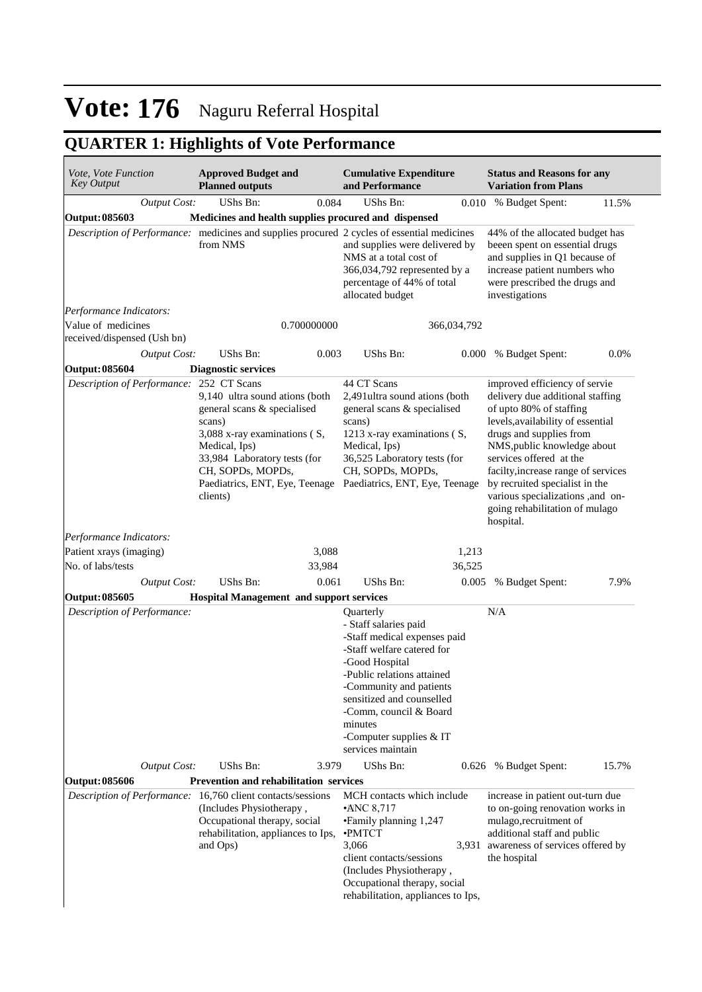## **QUARTER 1: Highlights of Vote Performance**

| Vote, Vote Function<br><b>Key Output</b> |                     | <b>Approved Budget and</b><br><b>Planned outputs</b>                                                                                                                                                                        |             | <b>Cumulative Expenditure</b><br>and Performance                                                                                                                                                                                                                                               |             | <b>Status and Reasons for any</b><br><b>Variation from Plans</b>                                                                                                                                                                                                                                                                                                                   |         |
|------------------------------------------|---------------------|-----------------------------------------------------------------------------------------------------------------------------------------------------------------------------------------------------------------------------|-------------|------------------------------------------------------------------------------------------------------------------------------------------------------------------------------------------------------------------------------------------------------------------------------------------------|-------------|------------------------------------------------------------------------------------------------------------------------------------------------------------------------------------------------------------------------------------------------------------------------------------------------------------------------------------------------------------------------------------|---------|
|                                          | <b>Output Cost:</b> | UShs Bn:                                                                                                                                                                                                                    | 0.084       | <b>UShs Bn:</b>                                                                                                                                                                                                                                                                                | 0.010       | % Budget Spent:                                                                                                                                                                                                                                                                                                                                                                    | 11.5%   |
| Output: 085603                           |                     |                                                                                                                                                                                                                             |             | Medicines and health supplies procured and dispensed                                                                                                                                                                                                                                           |             |                                                                                                                                                                                                                                                                                                                                                                                    |         |
|                                          |                     | from NMS                                                                                                                                                                                                                    |             | Description of Performance: medicines and supplies procured 2 cycles of essential medicines<br>and supplies were delivered by<br>NMS at a total cost of<br>366,034,792 represented by a<br>percentage of 44% of total<br>allocated budget                                                      |             | 44% of the allocated budget has<br>beeen spent on essential drugs<br>and supplies in Q1 because of<br>increase patient numbers who<br>were prescribed the drugs and<br>investigations                                                                                                                                                                                              |         |
| Performance Indicators:                  |                     |                                                                                                                                                                                                                             |             |                                                                                                                                                                                                                                                                                                |             |                                                                                                                                                                                                                                                                                                                                                                                    |         |
| Value of medicines                       |                     |                                                                                                                                                                                                                             | 0.700000000 |                                                                                                                                                                                                                                                                                                | 366,034,792 |                                                                                                                                                                                                                                                                                                                                                                                    |         |
| received/dispensed (Ush bn)              |                     |                                                                                                                                                                                                                             |             |                                                                                                                                                                                                                                                                                                |             |                                                                                                                                                                                                                                                                                                                                                                                    |         |
|                                          | <b>Output Cost:</b> | UShs Bn:                                                                                                                                                                                                                    | 0.003       | UShs Bn:                                                                                                                                                                                                                                                                                       |             | 0.000 % Budget Spent:                                                                                                                                                                                                                                                                                                                                                              | $0.0\%$ |
| Output: 085604                           |                     | <b>Diagnostic services</b>                                                                                                                                                                                                  |             |                                                                                                                                                                                                                                                                                                |             |                                                                                                                                                                                                                                                                                                                                                                                    |         |
| Description of Performance: 252 CT Scans |                     | 9,140 ultra sound ations (both<br>general scans & specialised<br>scans)<br>3,088 x-ray examinations (S,<br>Medical, Ips)<br>33,984 Laboratory tests (for<br>CH, SOPDs, MOPDs,<br>Paediatrics, ENT, Eye, Teenage<br>clients) |             | 44 CT Scans<br>2,491 ultra sound ations (both<br>general scans & specialised<br>scans)<br>1213 x-ray examinations (S,<br>Medical, Ips)<br>36,525 Laboratory tests (for<br>CH, SOPDs, MOPDs,<br>Paediatrics, ENT, Eye, Teenage                                                                  |             | improved efficiency of servie<br>delivery due additional staffing<br>of upto 80% of staffing<br>levels, availability of essential<br>drugs and supplies from<br>NMS, public knowledge about<br>services offered at the<br>facilty, increase range of services<br>by recruited specialist in the<br>various specializations ,and on-<br>going rehabilitation of mulago<br>hospital. |         |
| Performance Indicators:                  |                     |                                                                                                                                                                                                                             |             |                                                                                                                                                                                                                                                                                                |             |                                                                                                                                                                                                                                                                                                                                                                                    |         |
| Patient xrays (imaging)                  |                     |                                                                                                                                                                                                                             | 3,088       |                                                                                                                                                                                                                                                                                                | 1,213       |                                                                                                                                                                                                                                                                                                                                                                                    |         |
| No. of labs/tests                        |                     |                                                                                                                                                                                                                             | 33,984      |                                                                                                                                                                                                                                                                                                | 36,525      |                                                                                                                                                                                                                                                                                                                                                                                    |         |
|                                          | <b>Output Cost:</b> | UShs Bn:                                                                                                                                                                                                                    | 0.061       | <b>UShs Bn:</b>                                                                                                                                                                                                                                                                                | 0.005       | % Budget Spent:                                                                                                                                                                                                                                                                                                                                                                    | 7.9%    |
| Output: 085605                           |                     | <b>Hospital Management and support services</b>                                                                                                                                                                             |             |                                                                                                                                                                                                                                                                                                |             |                                                                                                                                                                                                                                                                                                                                                                                    |         |
| Description of Performance:              |                     |                                                                                                                                                                                                                             |             | Quarterly<br>- Staff salaries paid<br>-Staff medical expenses paid<br>-Staff welfare catered for<br>-Good Hospital<br>-Public relations attained<br>-Community and patients<br>sensitized and counselled<br>-Comm, council & Board<br>minutes<br>-Computer supplies $&IT$<br>services maintain |             | N/A                                                                                                                                                                                                                                                                                                                                                                                |         |
|                                          | <b>Output Cost:</b> | UShs Bn:                                                                                                                                                                                                                    | 3.979       | UShs Bn:                                                                                                                                                                                                                                                                                       |             | 0.626 % Budget Spent:                                                                                                                                                                                                                                                                                                                                                              | 15.7%   |
| Output: 085606                           |                     | Prevention and rehabilitation services                                                                                                                                                                                      |             |                                                                                                                                                                                                                                                                                                |             |                                                                                                                                                                                                                                                                                                                                                                                    |         |
|                                          |                     | Description of Performance: 16,760 client contacts/sessions<br>(Includes Physiotherapy,<br>Occupational therapy, social<br>rehabilitation, appliances to Ips,<br>and Ops)                                                   |             | MCH contacts which include<br>$\cdot$ ANC 8,717<br>• Family planning 1,247<br><b>•PMTCT</b><br>3,066<br>client contacts/sessions<br>(Includes Physiotherapy,<br>Occupational therapy, social<br>rehabilitation, appliances to Ips,                                                             | 3,931       | increase in patient out-turn due<br>to on-going renovation works in<br>mulago, recruitment of<br>additional staff and public<br>awareness of services offered by<br>the hospital                                                                                                                                                                                                   |         |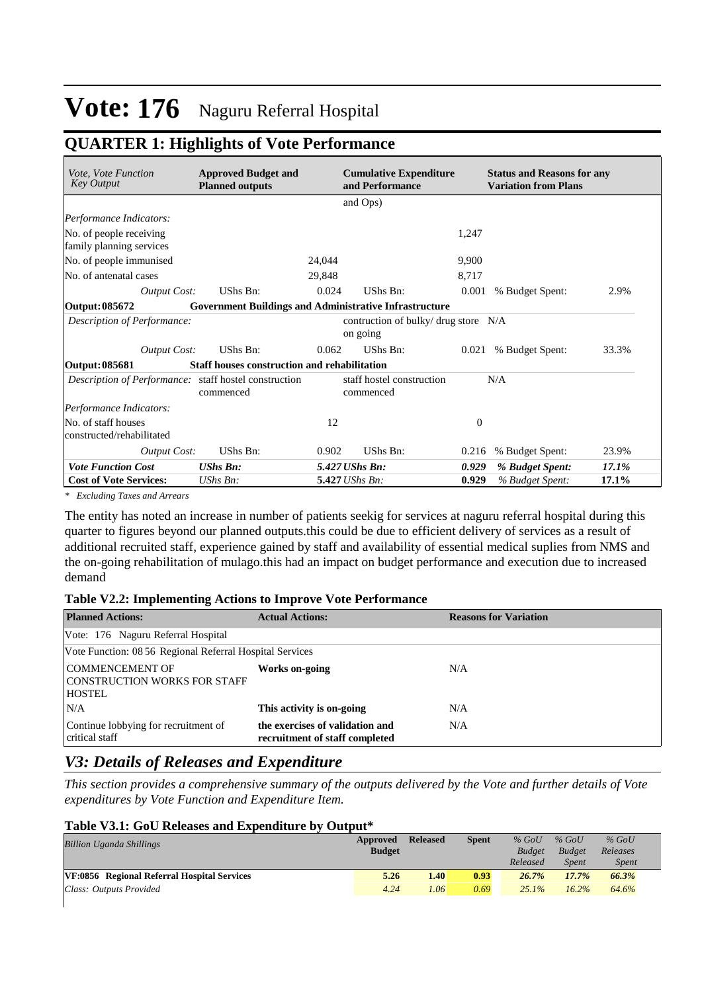### **QUARTER 1: Highlights of Vote Performance**

| Vote, Vote Function<br><b>Key Output</b>              | <b>Approved Budget and</b><br><b>Planned outputs</b>          | <b>Cumulative Expenditure</b><br>and Performance |                                        |          | <b>Status and Reasons for any</b><br><b>Variation from Plans</b> |       |
|-------------------------------------------------------|---------------------------------------------------------------|--------------------------------------------------|----------------------------------------|----------|------------------------------------------------------------------|-------|
|                                                       |                                                               |                                                  | and Ops)                               |          |                                                                  |       |
| Performance Indicators:                               |                                                               |                                                  |                                        |          |                                                                  |       |
| No. of people receiving<br>family planning services   |                                                               |                                                  |                                        | 1,247    |                                                                  |       |
| No. of people immunised                               |                                                               | 24,044                                           |                                        | 9,900    |                                                                  |       |
| No. of antenatal cases                                |                                                               | 29,848                                           |                                        | 8,717    |                                                                  |       |
| <b>Output Cost:</b>                                   | UShs Bn:                                                      | 0.024                                            | UShs Bn:                               | 0.001    | % Budget Spent:                                                  | 2.9%  |
| Output: 085672                                        | <b>Government Buildings and Administrative Infrastructure</b> |                                                  |                                        |          |                                                                  |       |
| Description of Performance:                           |                                                               |                                                  | contruction of bulky/ drug store N/A   |          |                                                                  |       |
|                                                       |                                                               |                                                  | on going                               |          |                                                                  |       |
| <b>Output Cost:</b>                                   | <b>UShs Bn:</b>                                               | 0.062                                            | UShs Bn:                               | 0.021    | % Budget Spent:                                                  | 33.3% |
| Output: 085681                                        | <b>Staff houses construction and rehabilitation</b>           |                                                  |                                        |          |                                                                  |       |
| Description of Performance: staff hostel construction | commenced                                                     |                                                  | staff hostel construction<br>commenced |          | N/A                                                              |       |
| Performance Indicators:                               |                                                               |                                                  |                                        |          |                                                                  |       |
| No. of staff houses<br>constructed/rehabilitated      |                                                               | 12                                               |                                        | $\Omega$ |                                                                  |       |
| <b>Output Cost:</b>                                   | UShs Bn:                                                      | 0.902                                            | UShs Bn:                               | 0.216    | % Budget Spent:                                                  | 23.9% |
| <b>Vote Function Cost</b>                             | <b>UShs Bn:</b>                                               |                                                  | 5.427 UShs Bn:                         | 0.929    | % Budget Spent:                                                  | 17.1% |
| <b>Cost of Vote Services:</b>                         | UShs Bn:                                                      |                                                  | 5.427 UShs Bn:                         | 0.929    | % Budget Spent:                                                  | 17.1% |

*\* Excluding Taxes and Arrears*

The entity has noted an increase in number of patients seekig for services at naguru referral hospital during this quarter to figures beyond our planned outputs.this could be due to efficient delivery of services as a result of additional recruited staff, experience gained by staff and availability of essential medical suplies from NMS and the on-going rehabilitation of mulago.this had an impact on budget performance and execution due to increased demand

#### **Table V2.2: Implementing Actions to Improve Vote Performance**

| <b>Planned Actions:</b>                                                 | <b>Actual Actions:</b>                                            | <b>Reasons for Variation</b> |
|-------------------------------------------------------------------------|-------------------------------------------------------------------|------------------------------|
| Vote: 176 Naguru Referral Hospital                                      |                                                                   |                              |
| Vote Function: 08 56 Regional Referral Hospital Services                |                                                                   |                              |
| <b>COMMENCEMENT OF</b><br>CONSTRUCTION WORKS FOR STAFF<br><b>HOSTEL</b> | Works on-going                                                    | N/A                          |
| N/A                                                                     | This activity is on-going                                         | N/A                          |
| Continue lobbying for recruitment of<br>critical staff                  | the exercises of validation and<br>recruitment of staff completed | N/A                          |

### *V3: Details of Releases and Expenditure*

*This section provides a comprehensive summary of the outputs delivered by the Vote and further details of Vote expenditures by Vote Function and Expenditure Item.*

#### **Table V3.1: GoU Releases and Expenditure by Output\***

| <b>Billion Uganda Shillings</b>             | Approved      | <b>Released</b>   | <b>Spent</b> | $%$ GoU       | $%$ GoU       | $%$ GoU      |  |
|---------------------------------------------|---------------|-------------------|--------------|---------------|---------------|--------------|--|
|                                             | <b>Budget</b> |                   |              | <b>Budget</b> | <b>Budget</b> | Releases     |  |
|                                             |               |                   |              | Released      | <b>Spent</b>  | <i>Spent</i> |  |
| VF:0856 Regional Referral Hospital Services | 5.26          | 1.40              | 0.93         | 26.7%         | 17.7%         | 66.3%        |  |
| Class: Outputs Provided                     | 4.24          | 1.06 <sup>2</sup> | 0.69         | $25.1\%$      | 16.2%         | 64.6%        |  |
|                                             |               |                   |              |               |               |              |  |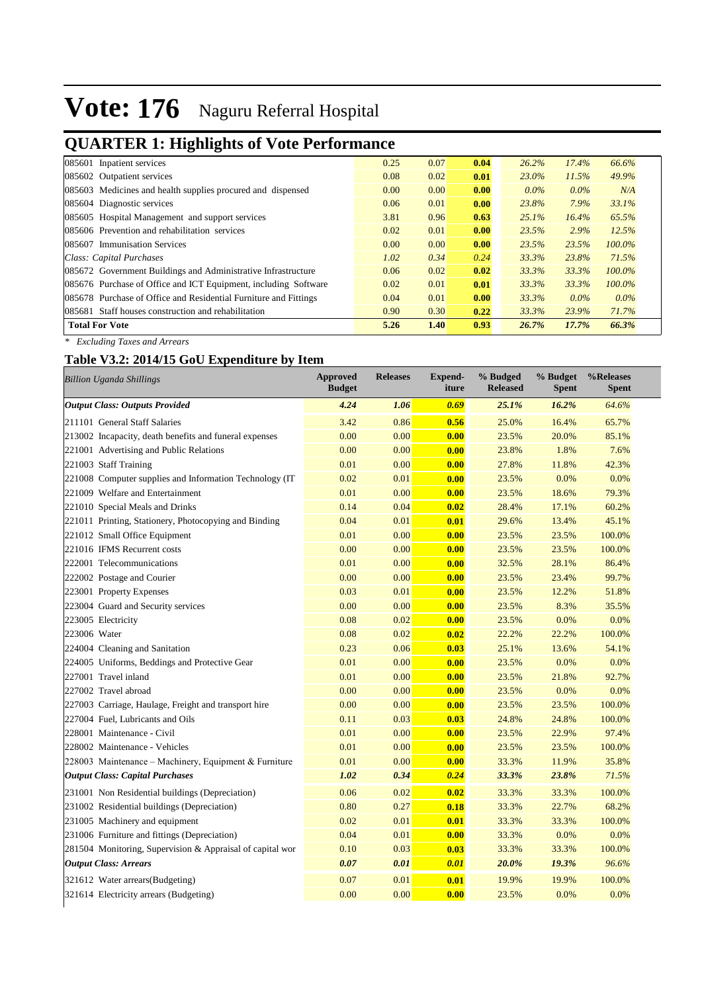## **QUARTER 1: Highlights of Vote Performance**

| 085601 Inpatient services                                        | 0.25 | 0.07 | 0.04 | 26.2%    | 17.4%   | 66.6%     |
|------------------------------------------------------------------|------|------|------|----------|---------|-----------|
| 085602 Outpatient services                                       | 0.08 | 0.02 | 0.01 | 23.0%    | 11.5%   | 49.9%     |
| 085603 Medicines and health supplies procured and dispensed      | 0.00 | 0.00 | 0.00 | $0.0\%$  | $0.0\%$ | N/A       |
| 085604 Diagnostic services                                       | 0.06 | 0.01 | 0.00 | 23.8%    | 7.9%    | 33.1%     |
| 085605 Hospital Management and support services                  | 3.81 | 0.96 | 0.63 | $25.1\%$ | 16.4%   | 65.5%     |
| 085606 Prevention and rehabilitation services                    | 0.02 | 0.01 | 0.00 | 23.5%    | 2.9%    | 12.5%     |
| 085607 Immunisation Services                                     | 0.00 | 0.00 | 0.00 | 23.5%    | 23.5%   | $100.0\%$ |
| Class: Capital Purchases                                         | 1.02 | 0.34 | 0.24 | 33.3%    | 23.8%   | 71.5%     |
| 085672 Government Buildings and Administrative Infrastructure    | 0.06 | 0.02 | 0.02 | 33.3%    | 33.3%   | $100.0\%$ |
| 085676 Purchase of Office and ICT Equipment, including Software  | 0.02 | 0.01 | 0.01 | 33.3%    | 33.3%   | $100.0\%$ |
| 085678 Purchase of Office and Residential Furniture and Fittings | 0.04 | 0.01 | 0.00 | 33.3%    | $0.0\%$ | $0.0\%$   |
| 085681 Staff houses construction and rehabilitation              | 0.90 | 0.30 | 0.22 | 33.3%    | 23.9%   | 71.7%     |
| <b>Total For Vote</b>                                            | 5.26 | 1.40 | 0.93 | 26.7%    | 17.7%   | 66.3%     |
|                                                                  |      |      |      |          |         |           |

*\* Excluding Taxes and Arrears*

### **Table V3.2: 2014/15 GoU Expenditure by Item**

| <b>Billion Uganda Shillings</b>                           | <b>Approved</b><br><b>Budget</b> | <b>Releases</b> | <b>Expend-</b><br>iture | % Budged<br><b>Released</b> | % Budget<br><b>Spent</b> | %Releases<br><b>Spent</b> |
|-----------------------------------------------------------|----------------------------------|-----------------|-------------------------|-----------------------------|--------------------------|---------------------------|
| <b>Output Class: Outputs Provided</b>                     | 4.24                             | 1.06            | 0.69                    | 25.1%                       | 16.2%                    | 64.6%                     |
| 211101 General Staff Salaries                             | 3.42                             | 0.86            | 0.56                    | 25.0%                       | 16.4%                    | 65.7%                     |
| 213002 Incapacity, death benefits and funeral expenses    | 0.00                             | 0.00            | 0.00                    | 23.5%                       | 20.0%                    | 85.1%                     |
| 221001 Advertising and Public Relations                   | 0.00                             | 0.00            | 0.00                    | 23.8%                       | 1.8%                     | 7.6%                      |
| 221003 Staff Training                                     | 0.01                             | 0.00            | 0.00                    | 27.8%                       | 11.8%                    | 42.3%                     |
| 221008 Computer supplies and Information Technology (IT)  | 0.02                             | 0.01            | 0.00                    | 23.5%                       | 0.0%                     | 0.0%                      |
| 221009 Welfare and Entertainment                          | 0.01                             | 0.00            | 0.00                    | 23.5%                       | 18.6%                    | 79.3%                     |
| 221010 Special Meals and Drinks                           | 0.14                             | 0.04            | 0.02                    | 28.4%                       | 17.1%                    | 60.2%                     |
| 221011 Printing, Stationery, Photocopying and Binding     | 0.04                             | 0.01            | 0.01                    | 29.6%                       | 13.4%                    | 45.1%                     |
| 221012 Small Office Equipment                             | 0.01                             | 0.00            | 0.00                    | 23.5%                       | 23.5%                    | 100.0%                    |
| 221016 IFMS Recurrent costs                               | 0.00                             | 0.00            | 0.00                    | 23.5%                       | 23.5%                    | 100.0%                    |
| 222001 Telecommunications                                 | 0.01                             | 0.00            | 0.00                    | 32.5%                       | 28.1%                    | 86.4%                     |
| 222002 Postage and Courier                                | 0.00                             | 0.00            | 0.00                    | 23.5%                       | 23.4%                    | 99.7%                     |
| 223001 Property Expenses                                  | 0.03                             | 0.01            | 0.00                    | 23.5%                       | 12.2%                    | 51.8%                     |
| 223004 Guard and Security services                        | 0.00                             | 0.00            | 0.00                    | 23.5%                       | 8.3%                     | 35.5%                     |
| 223005 Electricity                                        | 0.08                             | 0.02            | 0.00                    | 23.5%                       | 0.0%                     | 0.0%                      |
| 223006 Water                                              | 0.08                             | 0.02            | 0.02                    | 22.2%                       | 22.2%                    | 100.0%                    |
| 224004 Cleaning and Sanitation                            | 0.23                             | 0.06            | 0.03                    | 25.1%                       | 13.6%                    | 54.1%                     |
| 224005 Uniforms, Beddings and Protective Gear             | 0.01                             | 0.00            | 0.00                    | 23.5%                       | 0.0%                     | 0.0%                      |
| 227001 Travel inland                                      | 0.01                             | 0.00            | 0.00                    | 23.5%                       | 21.8%                    | 92.7%                     |
| 227002 Travel abroad                                      | 0.00                             | 0.00            | 0.00                    | 23.5%                       | 0.0%                     | 0.0%                      |
| 227003 Carriage, Haulage, Freight and transport hire      | 0.00                             | 0.00            | 0.00                    | 23.5%                       | 23.5%                    | 100.0%                    |
| 227004 Fuel, Lubricants and Oils                          | 0.11                             | 0.03            | 0.03                    | 24.8%                       | 24.8%                    | 100.0%                    |
| 228001 Maintenance - Civil                                | 0.01                             | 0.00            | 0.00                    | 23.5%                       | 22.9%                    | 97.4%                     |
| 228002 Maintenance - Vehicles                             | 0.01                             | 0.00            | 0.00                    | 23.5%                       | 23.5%                    | 100.0%                    |
| 228003 Maintenance - Machinery, Equipment & Furniture     | 0.01                             | 0.00            | 0.00                    | 33.3%                       | 11.9%                    | 35.8%                     |
| <b>Output Class: Capital Purchases</b>                    | 1.02                             | 0.34            | 0.24                    | 33.3%                       | 23.8%                    | 71.5%                     |
| 231001 Non Residential buildings (Depreciation)           | 0.06                             | 0.02            | 0.02                    | 33.3%                       | 33.3%                    | 100.0%                    |
| 231002 Residential buildings (Depreciation)               | 0.80                             | 0.27            | 0.18                    | 33.3%                       | 22.7%                    | 68.2%                     |
| 231005 Machinery and equipment                            | 0.02                             | 0.01            | 0.01                    | 33.3%                       | 33.3%                    | 100.0%                    |
| 231006 Furniture and fittings (Depreciation)              | 0.04                             | 0.01            | 0.00                    | 33.3%                       | 0.0%                     | 0.0%                      |
| 281504 Monitoring, Supervision & Appraisal of capital wor | 0.10                             | 0.03            | 0.03                    | 33.3%                       | 33.3%                    | 100.0%                    |
| <b>Output Class: Arrears</b>                              | 0.07                             | 0.01            | 0.01                    | 20.0%                       | 19.3%                    | 96.6%                     |
| 321612 Water arrears(Budgeting)                           | 0.07                             | 0.01            | 0.01                    | 19.9%                       | 19.9%                    | 100.0%                    |
| 321614 Electricity arrears (Budgeting)                    | 0.00                             | 0.00            | 0.00                    | 23.5%                       | 0.0%                     | 0.0%                      |